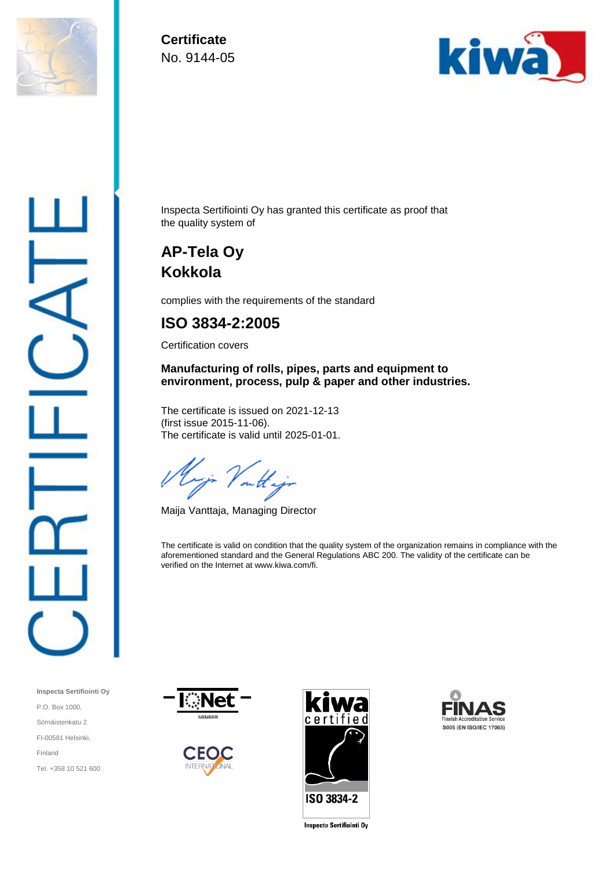

**Certificate** No. 9144-05



Inspecta Sertifiointi Oy has granted this certificate as proof that the quality system of

## **AP-Tela Oy Kokkola**

complies with the requirements of the standard

## **ISO 3834-2:2005**

Certification covers

**Manufacturing of rolls, pipes, parts and equipment to environment, process, pulp & paper and other industries.**

The certificate is issued on 2021-12-13 (first issue 2015-11-06). The certificate is valid until 2025-01-01.

outt.

Maija Vanttaja, Managing Director

The certificate is valid on condition that the quality system of the organization remains in compliance with the aforementioned standard and the General Regulations ABC 200. The validity of the certificate can be verified on the Internet at www.kiwa.com/fi.











**Inspecta Sertificinti Oy**